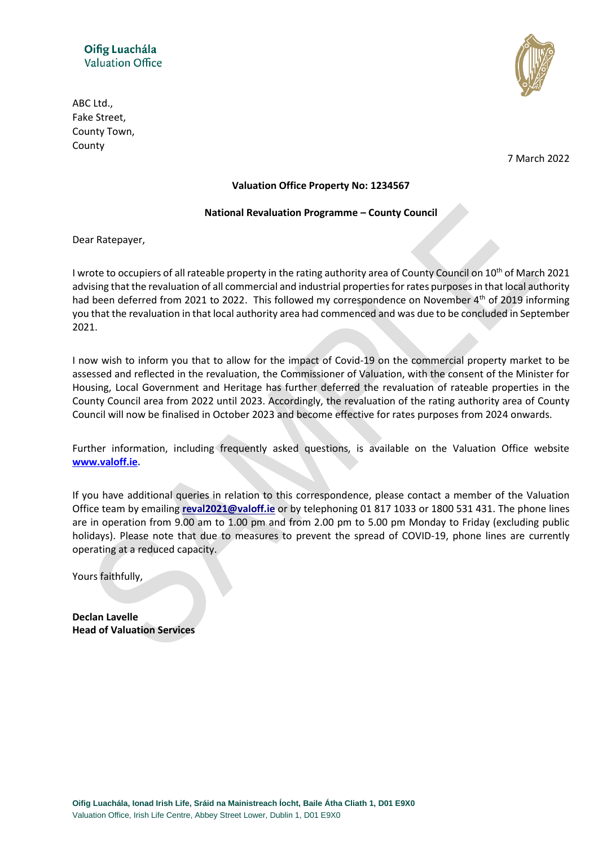

ABC Ltd., Fake Street, County Town, County

7 March 2022

## **Valuation Office Property No: 1234567**

#### **National Revaluation Programme – County Council**

Dear Ratepayer,

I wrote to occupiers of all rateable property in the rating authority area of County Council on  $10^{th}$  of March 2021 advising that the revaluation of all commercial and industrial properties for rates purposes in that local authority had been deferred from 2021 to 2022. This followed my correspondence on November 4<sup>th</sup> of 2019 informing you that the revaluation in that local authority area had commenced and was due to be concluded in September 2021.

I now wish to inform you that to allow for the impact of Covid-19 on the commercial property market to be assessed and reflected in the revaluation, the Commissioner of Valuation, with the consent of the Minister for Housing, Local Government and Heritage has further deferred the revaluation of rateable properties in the County Council area from 2022 until 2023. Accordingly, the revaluation of the rating authority area of County Council will now be finalised in October 2023 and become effective for rates purposes from 2024 onwards.

Further information, including frequently asked questions, is available on the Valuation Office website **[www.valoff.ie.](http://www.valoff.ie/)**

If you have additional queries in relation to this correspondence, please contact a member of the Valuation Office team by emailing **[reval2021@valoff.ie](mailto:revaldunlrath@valoff.ie)** or by telephoning 01 817 1033 or 1800 531 431. The phone lines are in operation from 9.00 am to 1.00 pm and from 2.00 pm to 5.00 pm Monday to Friday (excluding public holidays). Please note that due to measures to prevent the spread of COVID-19, phone lines are currently operating at a reduced capacity.

Yours faithfully,

**Declan Lavelle Head of Valuation Services**